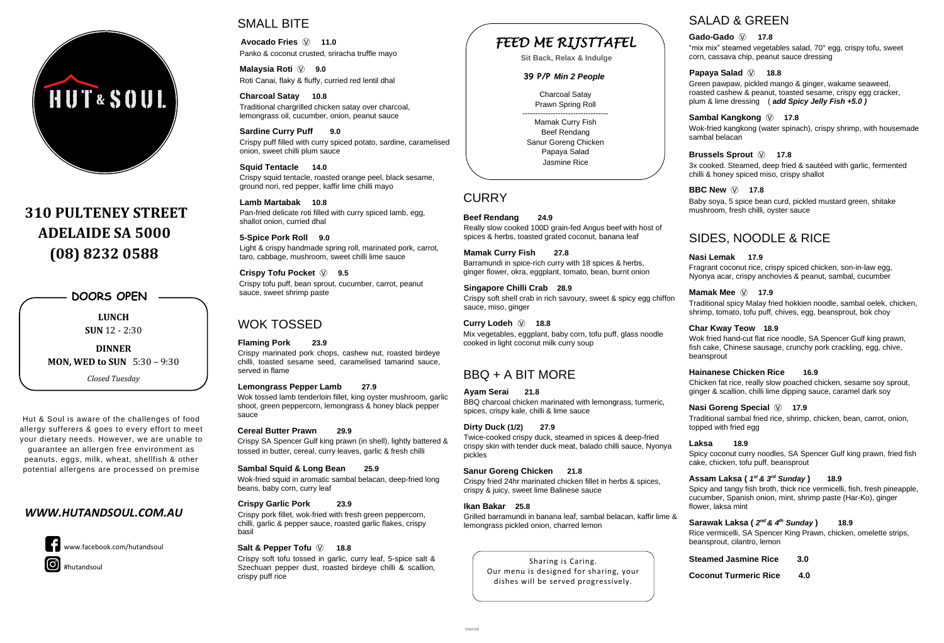



# **310 PULTENEY STREET ADELAIDE SA 5000 (08) 8232 0588**

### *WWW.HUTANDSOUL.COM.AU*



## SMALL BITE

**Malaysia Roti**  $\circled{v}$  9.0 Roti Canai, flaky & fluffy, curried red lentil dhal

**Avocado Fries** Ⓥ **11.0** Panko & coconut crusted, sriracha truffle mayo

**Charcoal Satay 10.8** Traditional chargrilled chicken satay over charcoal, lemongrass oil, cucumber, onion, peanut sauce

**Sardine Curry Puff 9.0** Crispy puff filled with curry spiced potato, sardine, caramelised onion, sweet chilli plum sauce

**Squid Tentacle 14.0** Crispy squid tentacle, roasted orange peel, black sesame, ground nori, red pepper, kaffir lime chilli mayo

**Lamb Martabak 10.8** Pan-fried delicate roti filled with curry spiced lamb, egg, shallot onion, curried dhal

**5-Spice Pork Roll 9.0** Light & crispy handmade spring roll, marinated pork, carrot, taro, cabbage, mushroom, sweet chilli lime sauce

**Crispy Tofu Pocket** Ⓥ **9.5** Crispy tofu puff, bean sprout, cucumber, carrot, peanut sauce, sweet shrimp paste

## WOK TOSSED

#### **Flaming Pork 23.9**

Crispy marinated pork chops, cashew nut, roasted birdeye chilli, toasted sesame seed, caramelised tamarind sauce, served in flame

#### **Lemongrass Pepper Lamb 27.9**

Wok tossed lamb tenderloin fillet, king oyster mushroom, garlic shoot, green peppercorn, lemongrass & honey black pepper sauce

#### **Cereal Butter Prawn 29.9**

Crispy SA Spencer Gulf king prawn (in shell), lightly battered & tossed in butter, cereal, curry leaves, garlic & fresh chilli

#### **Sambal Squid & Long Bean 25.9**

Wok-fried squid in aromatic sambal belacan, deep-fried long beans, baby corn, curry leaf

#### **Crispy Garlic Pork 23.9**

Crispy pork fillet, wok-fried with fresh green peppercorn, chilli, garlic & pepper sauce, roasted garlic flakes, crispy basil

#### **Salt & Pepper Tofu**  $\hat{V}$  **18.8**

Crispy soft tofu tossed in garlic, curry leaf, 5-spice salt & Szechuan pepper dust, roasted birdeye chilli & scallion, crispy puff rice

**Beef Rendang 24.9** Really slow cooked 100D grain-fed Angus beef with host of spices & herbs, toasted grated coconut, banana leaf

**Mamak Curry Fish 27.8** Barramundi in spice-rich curry with 18 spices & herbs, ginger flower, okra, eggplant, tomato, bean, burnt onion

**Singapore Chilli Crab 28.9**  Crispy soft shell crab in rich savoury, sweet & spicy egg chiffon sauce, miso, ginger

**Curry Lodeh** Ⓥ **18.8** Mix vegetables, eggplant, baby corn, tofu puff, glass noodle cooked in light coconut milk curry soup

## BBQ + A BIT MORE

#### **Ayam Serai 21.8**

BBQ charcoal chicken marinated with lemongrass, turmeric, spices, crispy kale, chilli & lime sauce

(O) #hutandsoul

#### **Dirty Duck (1/2) 27.9**

#### **Sanur Goreng Chicken 21.8**

Crispy fried 24hr marinated chicken fillet in herbs & spices, crispy & juicy, sweet lime Balinese sauce

#### **Ikan Bakar 25.8**

Grilled barramundi in banana leaf, sambal belacan, kaffir lime & lemongrass pickled onion, charred lemon

# SALAD & GREEN

#### **Gado-Gado** Ⓥ **17.8**

"mix mix" steamed vegetables salad, 70° egg, crispy tofu, sweet corn, cassava chip, peanut sauce dressing

### **Papaya Salad** Ⓥ **18.8**

Green pawpaw, pickled mango & ginger, wakame seaweed, roasted cashew & peanut, toasted sesame, crispy egg cracker, plum & lime dressing ( **a***dd Spicy Jelly Fish +5.0 )*

### **Sambal Kangkong** Ⓥ **17.8**

Wok-fried kangkong (water spinach), crispy shrimp, with housemade sambal belacan

### **Brussels Sprout** Ⓥ **17.8**

3x cooked. Steamed, deep fried & sautéed with garlic, fermented chilli & honey spiced miso, crispy shallot

#### **BBC New**  $\textcircled{v}$  **17.8**

Twice-cooked crispy duck, steamed in spices & deep-fried crispy skin with tender duck meat, balado chilli sauce, Nyonya pickles **Laksa 18.9** 

Baby soya, 5 spice bean curd, pickled mustard green, shitake mushroom, fresh chilli, oyster sauce

# SIDES, NOODLE & RICE

#### **Nasi Lemak 17.9**

Fragrant coconut rice, crispy spiced chicken, son-in-law egg, Nyonya acar, crispy anchovies & peanut, sambal, cucumber

#### **Mamak Mee**  $\circled{v}$  **17.9**

Traditional spicy Malay fried hokkien noodle, sambal oelek, chicken, shrimp, tomato, tofu puff, chives, egg, beansprout, bok choy

#### **Char Kway Teow 18.9**

Wok fried hand-cut flat rice noodle, SA Spencer Gulf king prawn, fish cake, Chinese sausage, crunchy pork crackling, egg, chive, beansprout

#### **Hainanese Chicken Rice 16.9**

Chicken fat rice, really slow poached chicken, sesame soy sprout, ginger & scallion, chilli lime dipping sauce, caramel dark soy

#### **Nasi Goreng Special**  $\textcircled{v}$  **17.9**

Traditional sambal fried rice, shrimp, chicken, bean, carrot, onion, topped with fried egg

Spicy coconut curry noodles, SA Spencer Gulf king prawn, fried fish cake, chicken, tofu puff, beansprout

### **Assam Laksa (** *1 st & 3 rd Sunday* **) 18.9**

Spicy and tangy fish broth, thick rice vermicelli, fish, fresh pineapple, cucumber, Spanish onion, mint, shrimp paste (Har-Ko), ginger flower, laksa mint

### **Sarawak Laksa (** *2 nd & 4 th Sunday* **) 18.9**

Rice vermicelli, SA Spencer King Prawn, chicken, omelette strips, beansprout, cilantro, lemon

**Steamed Jasmine Rice 3.0**

**Coconut Turmeric Rice 4.0**

**LUNCH SUN** 12 - 2:30

**DINNER MON, WED to SUN** 5:30 – 9:30

*Closed Tuesday*

**DOORS OPEN**

www.facebook.com/hutandsoul

Hut & Soul is aware of the challenges of food allergy sufferers & goes to every effort to meet your dietary needs. However, we are unable to guarantee an allergen free environment as peanuts, eggs, milk, wheat, shellfish & other potential allergens are processed on premise

> Sharing is Caring. Our menu is designed for sharing, your dishes will be served progressively.

# *FEED ME RIJSTTAFEL*

**Sit Back, Relax & Indulge**

#### **39 P/P** *Min 2 People*

Charcoal Satay Prawn Spring Roll

---------------------------------- Mamak Curry Fish Beef Rendang Sanur Goreng Chicken Papaya Salad Jasmine Rice

### **CURRY**